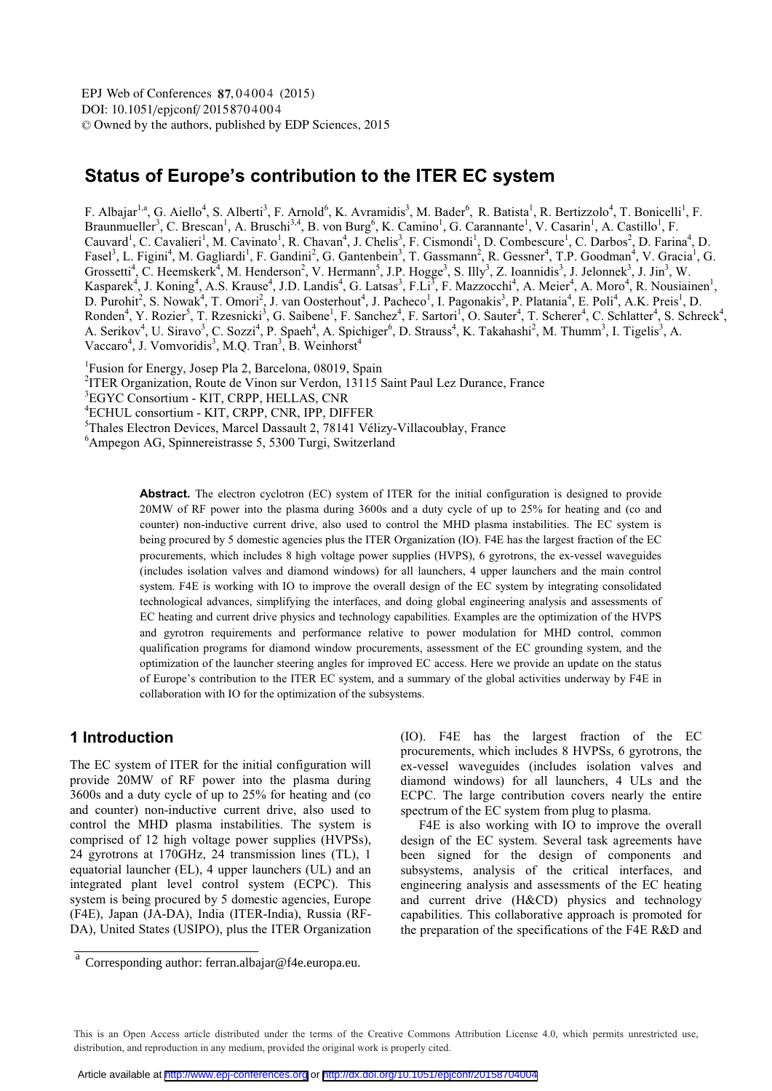# **Status of Europe's contribution to the ITER EC system**

F. Albajar<sup>1,a</sup>, G. Aiello<sup>4</sup>, S. Alberti<sup>3</sup>, F. Arnold<sup>6</sup>, K. Avramidis<sup>3</sup>, M. Bader<sup>6</sup>, R. Batista<sup>1</sup>, R. Bertizzolo<sup>4</sup>, T. Bonicelli<sup>1</sup>, F. Braunmueller<sup>3</sup>, C. Brescan<sup>1</sup>, A. Bruschi<sup>3,4</sup>, B. von Burg<sup>6</sup>, K. Camino<sup>1</sup>, G. Carannante<sup>1</sup>, V. Casarin<sup>1</sup>, A. Castillo<sup>1</sup>, F. Cauvard<sup>1</sup>, C. Cavalieri<sup>1</sup>, M. Cavinato<sup>1</sup>, R. Chavan<sup>4</sup>, J. Chelis<sup>3</sup>, F. Cismondi<sup>1</sup>, D. Combescure<sup>1</sup>, C. Darbos<sup>2</sup>, D. Farina<sup>4</sup>, D. Fasel<sup>3</sup>, L. Figini<sup>4</sup>, M. Gagliardi<sup>1</sup>, F. Gandini<sup>2</sup>, G. Gantenbein<sup>3</sup>, T. Gassmann<sup>2</sup>, R. Gessner<sup>4</sup>, T.P. Goodman<sup>4</sup>, V. Gracia<sup>1</sup>, G. Grossetti<sup>4</sup>, C. Heemskerk<sup>4</sup>, M. Henderson<sup>2</sup>, V. Hermann<sup>5</sup>, J.P. Hogge<sup>3</sup>, S. Illy<sup>3</sup>, Z. Ioannidis<sup>3</sup>, J. Jelonnek<sup>3</sup>, J. Jin<sup>3</sup>, W. Kasparek<sup>4</sup>, J. Koning<sup>4</sup>, A.S. Krause<sup>4</sup>, J.D. Landis<sup>4</sup>, G. Latsas<sup>3</sup>, F.Li<sup>3</sup>, F. Mazzocchi<sup>4</sup>, A. Meier<sup>4</sup>, A. Moro<sup>4</sup>, R. Nousiainen<sup>1</sup>, D. Purohit<sup>2</sup>, S. Nowak<sup>4</sup>, T. Omori<sup>2</sup>, J. van Oosterhout<sup>4</sup>, J. Pacheco<sup>1</sup>, I. Pagonakis<sup>3</sup>, P. Platania<sup>4</sup>, E. Poli<sup>4</sup>, A.K. Preis<sup>1</sup>, D. Ronden<sup>4</sup>, Y. Rozier<sup>5</sup>, T. Rzesnicki<sup>3</sup>, G. Saibene<sup>1</sup>, F. Sanchez<sup>4</sup>, F. Sartori<sup>1</sup>, O. Sauter<sup>4</sup>, T. Scherer<sup>4</sup>, C. Schlatter<sup>4</sup>, S. Schreck<sup>4</sup>, A. Serikov<sup>4</sup>, U. Siravo<sup>3</sup>, C. Sozzi<sup>4</sup>, P. Spaeh<sup>4</sup>, A. Spichiger<sup>6</sup>, D. Strauss<sup>4</sup>, K. Takahashi<sup>2</sup>, M. Thumm<sup>3</sup>, I. Tigelis<sup>3</sup>, A. Vaccaro<sup>4</sup>, J. Vomvoridis<sup>3</sup>, M.Q. Tran<sup>3</sup>, B. Weinhorst<sup>4</sup>

<sup>1</sup>Fusion for Energy, Josep Pla 2, Barcelona, 08019, Spain

2 ITER Organization, Route de Vinon sur Verdon, 13115 Saint Paul Lez Durance, France

3 EGYC Consortium - KIT, CRPP, HELLAS, CNR

4 ECHUL consortium - KIT, CRPP, CNR, IPP, DIFFER

 $^{5}$ Thales Electron Devices, Marcel Dassault 2, 78141 Vélizy-Villacoublay, France  $^{6}$ Ampegon AG, Spinneraistresse 5, 5300 Turgi, Switzerland

<sup>6</sup>Ampegon AG, Spinnereistrasse 5, 5300 Turgi, Switzerland

Abstract. The electron cyclotron (EC) system of ITER for the initial configuration is designed to provide 20MW of RF power into the plasma during 3600s and a duty cycle of up to 25% for heating and (co and counter) non-inductive current drive, also used to control the MHD plasma instabilities. The EC system is being procured by 5 domestic agencies plus the ITER Organization (IO). F4E has the largest fraction of the EC procurements, which includes 8 high voltage power supplies (HVPS), 6 gyrotrons, the ex-vessel waveguides (includes isolation valves and diamond windows) for all launchers, 4 upper launchers and the main control system. F4E is working with IO to improve the overall design of the EC system by integrating consolidated technological advances, simplifying the interfaces, and doing global engineering analysis and assessments of EC heating and current drive physics and technology capabilities. Examples are the optimization of the HVPS and gyrotron requirements and performance relative to power modulation for MHD control, common qualification programs for diamond window procurements, assessment of the EC grounding system, and the optimization of the launcher steering angles for improved EC access. Here we provide an update on the status of Europe's contribution to the ITER EC system, and a summary of the global activities underway by F4E in collaboration with IO for the optimization of the subsystems.

# **1 Introduction**

The EC system of ITER for the initial configuration will provide 20MW of RF power into the plasma during 3600s and a duty cycle of up to 25% for heating and (co and counter) non-inductive current drive, also used to control the MHD plasma instabilities. The system is comprised of 12 high voltage power supplies (HVPSs), 24 gyrotrons at 170GHz, 24 transmission lines (TL), 1 equatorial launcher (EL), 4 upper launchers (UL) and an integrated plant level control system (ECPC). This system is being procured by 5 domestic agencies, Europe (F4E), Japan (JA-DA), India (ITER-India), Russia (RF-DA), United States (USIPO), plus the ITER Organization (IO). F4E has the largest fraction of the EC procurements, which includes 8 HVPSs, 6 gyrotrons, the ex-vessel waveguides (includes isolation valves and diamond windows) for all launchers, 4 ULs and the ECPC. The large contribution covers nearly the entire spectrum of the EC system from plug to plasma.

F4E is also working with IO to improve the overall design of the EC system. Several task agreements have been signed for the design of components and subsystems, analysis of the critical interfaces, and engineering analysis and assessments of the EC heating and current drive (H&CD) physics and technology capabilities. This collaborative approach is promoted for the preparation of the specifications of the F4E R&D and

This is an Open Access article distributed under the terms of the Creative Commons Attribution License 4.0, which permits unrestricted use. distribution, and reproduction in any medium, provided the original work is properly cited.

a Corresponding author: ferran.albajar@f4e.europa.eu.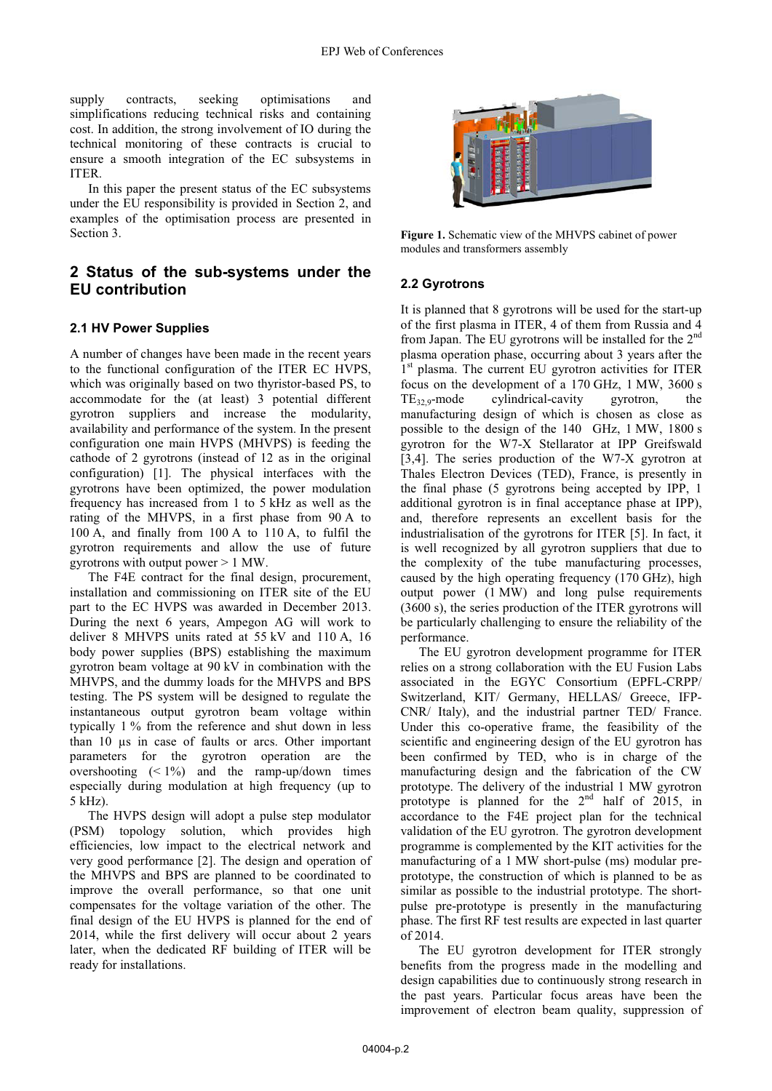supply contracts, seeking optimisations and simplifications reducing technical risks and containing cost. In addition, the strong involvement of IO during the technical monitoring of these contracts is crucial to ensure a smooth integration of the EC subsystems in ITER.

In this paper the present status of the EC subsystems under the EU responsibility is provided in Section 2, and examples of the optimisation process are presented in Section 3.

# **2 Status of the sub-systems under the EU contribution**

## **2.1 HV Power Supplies**

A number of changes have been made in the recent years to the functional configuration of the ITER EC HVPS, which was originally based on two thyristor-based PS, to accommodate for the (at least) 3 potential different gyrotron suppliers and increase the modularity, availability and performance of the system. In the present configuration one main HVPS (MHVPS) is feeding the cathode of 2 gyrotrons (instead of 12 as in the original configuration) [1]. The physical interfaces with the gyrotrons have been optimized, the power modulation frequency has increased from 1 to 5 kHz as well as the rating of the MHVPS, in a first phase from 90 A to 100 A, and finally from 100 A to 110 A, to fulfil the gyrotron requirements and allow the use of future gyrotrons with output power  $> 1$  MW.

The F4E contract for the final design, procurement, installation and commissioning on ITER site of the EU part to the EC HVPS was awarded in December 2013. During the next 6 years, Ampegon AG will work to deliver 8 MHVPS units rated at 55 kV and 110 A, 16 body power supplies (BPS) establishing the maximum gyrotron beam voltage at 90 kV in combination with the MHVPS, and the dummy loads for the MHVPS and BPS testing. The PS system will be designed to regulate the instantaneous output gyrotron beam voltage within typically 1 % from the reference and shut down in less than 10 μs in case of faults or arcs. Other important parameters for the gyrotron operation are the overshooting  $(1\%)$  and the ramp-up/down times especially during modulation at high frequency (up to 5 kHz).

The HVPS design will adopt a pulse step modulator (PSM) topology solution, which provides high efficiencies, low impact to the electrical network and very good performance [2]. The design and operation of the MHVPS and BPS are planned to be coordinated to improve the overall performance, so that one unit compensates for the voltage variation of the other. The final design of the EU HVPS is planned for the end of 2014, while the first delivery will occur about 2 years later, when the dedicated RF building of ITER will be ready for installations.



**Figure 1.** Schematic view of the MHVPS cabinet of power modules and transformers assembly

### **2.2 Gyrotrons**

It is planned that 8 gyrotrons will be used for the start-up of the first plasma in ITER, 4 of them from Russia and 4 from Japan. The EU gyrotrons will be installed for the 2<sup>nd</sup> plasma operation phase, occurring about 3 years after the 1<sup>st</sup> plasma. The current EU gyrotron activities for ITER focus on the development of a 170 GHz, 1 MW, 3600 s TE32,9-mode cylindrical-cavity gyrotron, the manufacturing design of which is chosen as close as possible to the design of the 140 GHz, 1 MW, 1800 s gyrotron for the W7-X Stellarator at IPP Greifswald [3,4]. The series production of the W7-X gyrotron at Thales Electron Devices (TED), France, is presently in the final phase (5 gyrotrons being accepted by IPP, 1 additional gyrotron is in final acceptance phase at IPP), and, therefore represents an excellent basis for the industrialisation of the gyrotrons for ITER [5]. In fact, it is well recognized by all gyrotron suppliers that due to the complexity of the tube manufacturing processes, caused by the high operating frequency (170 GHz), high output power (1 MW) and long pulse requirements (3600 s), the series production of the ITER gyrotrons will be particularly challenging to ensure the reliability of the performance.

The EU gyrotron development programme for ITER relies on a strong collaboration with the EU Fusion Labs associated in the EGYC Consortium (EPFL-CRPP/ Switzerland, KIT/ Germany, HELLAS/ Greece, IFP-CNR/ Italy), and the industrial partner TED/ France. Under this co-operative frame, the feasibility of the scientific and engineering design of the EU gyrotron has been confirmed by TED, who is in charge of the manufacturing design and the fabrication of the CW prototype. The delivery of the industrial 1 MW gyrotron prototype is planned for the  $2<sup>nd</sup>$  half of 2015, in accordance to the F4E project plan for the technical validation of the EU gyrotron. The gyrotron development programme is complemented by the KIT activities for the manufacturing of a 1 MW short-pulse (ms) modular preprototype, the construction of which is planned to be as similar as possible to the industrial prototype. The shortpulse pre-prototype is presently in the manufacturing phase. The first RF test results are expected in last quarter of 2014.

The EU gyrotron development for ITER strongly benefits from the progress made in the modelling and design capabilities due to continuously strong research in the past years. Particular focus areas have been the improvement of electron beam quality, suppression of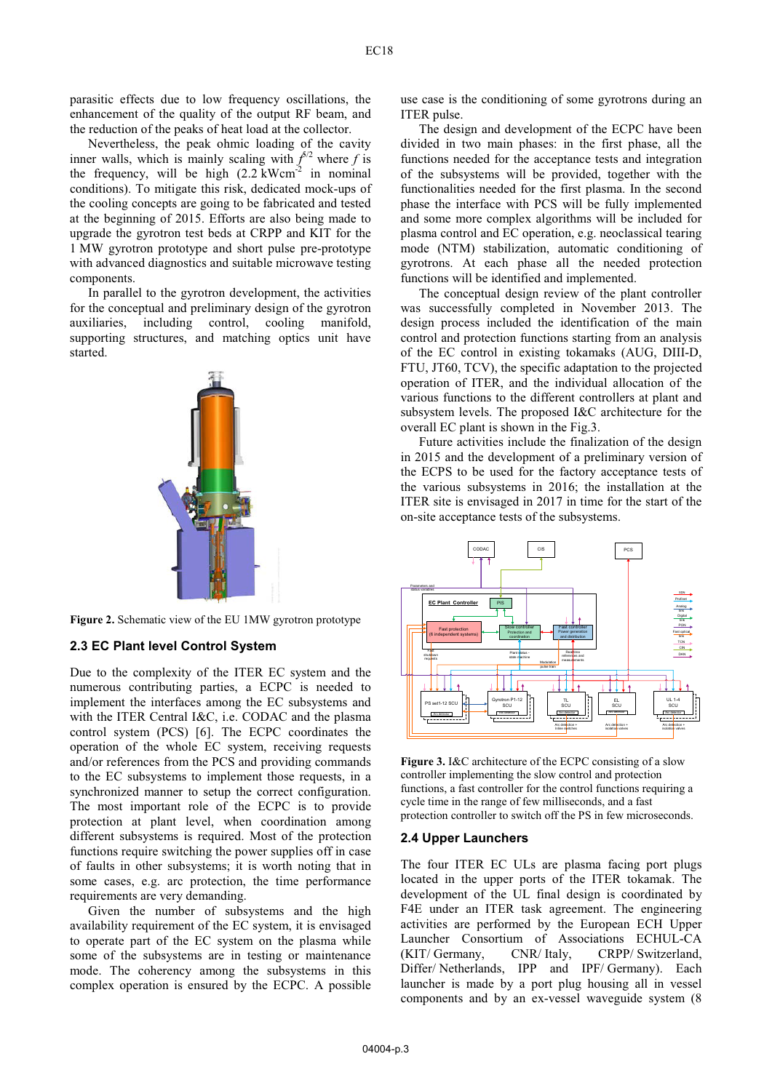parasitic effects due to low frequency oscillations, the enhancement of the quality of the output RF beam, and the reduction of the peaks of heat load at the collector.

Nevertheless, the peak ohmic loading of the cavity inner walls, which is mainly scaling with  $f^{5/2}$  where *f* is the frequency, will be high  $(2.2 \text{ kWcm}^2)$  in nominal conditions). To mitigate this risk, dedicated mock-ups of the cooling concepts are going to be fabricated and tested at the beginning of 2015. Efforts are also being made to upgrade the gyrotron test beds at CRPP and KIT for the 1 MW gyrotron prototype and short pulse pre-prototype with advanced diagnostics and suitable microwave testing components.

In parallel to the gyrotron development, the activities for the conceptual and preliminary design of the gyrotron auxiliaries, including control, cooling manifold, supporting structures, and matching optics unit have started.



**Figure 2.** Schematic view of the EU 1MW gyrotron prototype

### **2.3 EC Plant level Control System**

Due to the complexity of the ITER EC system and the numerous contributing parties, a ECPC is needed to implement the interfaces among the EC subsystems and with the ITER Central I&C, i.e. CODAC and the plasma control system (PCS) [6]. The ECPC coordinates the operation of the whole EC system, receiving requests and/or references from the PCS and providing commands to the EC subsystems to implement those requests, in a synchronized manner to setup the correct configuration. The most important role of the ECPC is to provide protection at plant level, when coordination among different subsystems is required. Most of the protection functions require switching the power supplies off in case of faults in other subsystems; it is worth noting that in some cases, e.g. arc protection, the time performance requirements are very demanding.

Given the number of subsystems and the high availability requirement of the EC system, it is envisaged to operate part of the EC system on the plasma while some of the subsystems are in testing or maintenance mode. The coherency among the subsystems in this complex operation is ensured by the ECPC. A possible

use case is the conditioning of some gyrotrons during an ITER pulse.

The design and development of the ECPC have been divided in two main phases: in the first phase, all the functions needed for the acceptance tests and integration of the subsystems will be provided, together with the functionalities needed for the first plasma. In the second phase the interface with PCS will be fully implemented and some more complex algorithms will be included for plasma control and EC operation, e.g. neoclassical tearing mode (NTM) stabilization, automatic conditioning of gyrotrons. At each phase all the needed protection functions will be identified and implemented.

The conceptual design review of the plant controller was successfully completed in November 2013. The design process included the identification of the main control and protection functions starting from an analysis of the EC control in existing tokamaks (AUG, DIII-D, FTU, JT60, TCV), the specific adaptation to the projected operation of ITER, and the individual allocation of the various functions to the different controllers at plant and subsystem levels. The proposed I&C architecture for the overall EC plant is shown in the Fig.3.

Future activities include the finalization of the design in 2015 and the development of a preliminary version of the ECPS to be used for the factory acceptance tests of the various subsystems in 2016; the installation at the ITER site is envisaged in 2017 in time for the start of the on-site acceptance tests of the subsystems.



**Figure 3.** I&C architecture of the ECPC consisting of a slow controller implementing the slow control and protection functions, a fast controller for the control functions requiring a cycle time in the range of few milliseconds, and a fast protection controller to switch off the PS in few microseconds.

#### **2.4 Upper Launchers**

The four ITER EC ULs are plasma facing port plugs located in the upper ports of the ITER tokamak. The development of the UL final design is coordinated by F4E under an ITER task agreement. The engineering activities are performed by the European ECH Upper Launcher Consortium of Associations ECHUL-CA (KIT/ Germany, CNR/ Italy, CRPP/ Switzerland, Differ/ Netherlands, IPP and IPF/ Germany). Each launcher is made by a port plug housing all in vessel components and by an ex-vessel waveguide system (8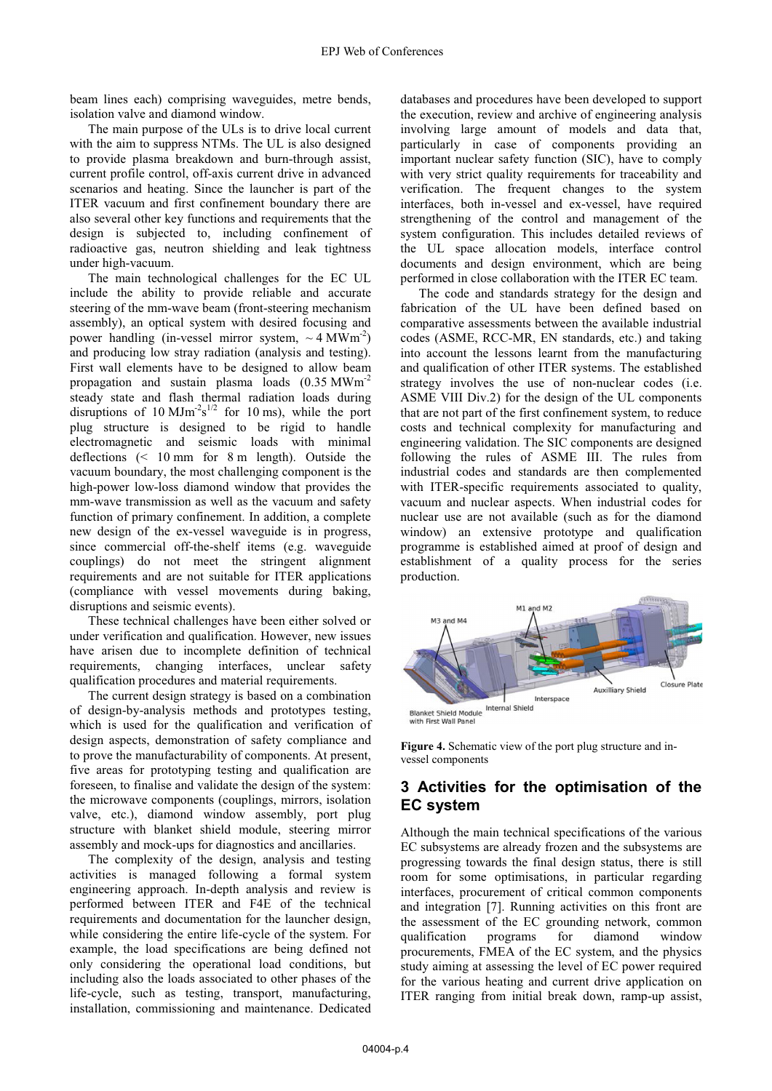beam lines each) comprising waveguides, metre bends, isolation valve and diamond window.

The main purpose of the ULs is to drive local current with the aim to suppress NTMs. The UL is also designed to provide plasma breakdown and burn-through assist, current profile control, off-axis current drive in advanced scenarios and heating. Since the launcher is part of the ITER vacuum and first confinement boundary there are also several other key functions and requirements that the design is subjected to, including confinement of radioactive gas, neutron shielding and leak tightness under high-vacuum.

The main technological challenges for the EC UL include the ability to provide reliable and accurate steering of the mm-wave beam (front-steering mechanism assembly), an optical system with desired focusing and power handling (in-vessel mirror system,  $\sim$  4 MWm<sup>-2</sup>) and producing low stray radiation (analysis and testing). First wall elements have to be designed to allow beam propagation and sustain plasma loads (0.35 MWm-2 steady state and flash thermal radiation loads during disruptions of 10  $M \text{J} \text{m}^{-2} \text{s}^{1/2}$  for 10 ms), while the port plug structure is designed to be rigid to handle electromagnetic and seismic loads with minimal deflections (< 10 mm for 8 m length). Outside the vacuum boundary, the most challenging component is the high-power low-loss diamond window that provides the mm-wave transmission as well as the vacuum and safety function of primary confinement. In addition, a complete new design of the ex-vessel waveguide is in progress, since commercial off-the-shelf items (e.g. waveguide couplings) do not meet the stringent alignment requirements and are not suitable for ITER applications (compliance with vessel movements during baking, disruptions and seismic events).

These technical challenges have been either solved or under verification and qualification. However, new issues have arisen due to incomplete definition of technical requirements, changing interfaces, unclear safety qualification procedures and material requirements.

The current design strategy is based on a combination of design-by-analysis methods and prototypes testing, which is used for the qualification and verification of design aspects, demonstration of safety compliance and to prove the manufacturability of components. At present, five areas for prototyping testing and qualification are foreseen, to finalise and validate the design of the system: the microwave components (couplings, mirrors, isolation valve, etc.), diamond window assembly, port plug structure with blanket shield module, steering mirror assembly and mock-ups for diagnostics and ancillaries.

The complexity of the design, analysis and testing activities is managed following a formal system engineering approach. In-depth analysis and review is performed between ITER and F4E of the technical requirements and documentation for the launcher design, while considering the entire life-cycle of the system. For example, the load specifications are being defined not only considering the operational load conditions, but including also the loads associated to other phases of the life-cycle, such as testing, transport, manufacturing, installation, commissioning and maintenance. Dedicated

databases and procedures have been developed to support the execution, review and archive of engineering analysis involving large amount of models and data that, particularly in case of components providing an important nuclear safety function (SIC), have to comply with very strict quality requirements for traceability and verification. The frequent changes to the system interfaces, both in-vessel and ex-vessel, have required strengthening of the control and management of the system configuration. This includes detailed reviews of the UL space allocation models, interface control documents and design environment, which are being performed in close collaboration with the ITER EC team.

The code and standards strategy for the design and fabrication of the UL have been defined based on comparative assessments between the available industrial codes (ASME, RCC-MR, EN standards, etc.) and taking into account the lessons learnt from the manufacturing and qualification of other ITER systems. The established strategy involves the use of non-nuclear codes (i.e. ASME VIII Div.2) for the design of the UL components that are not part of the first confinement system, to reduce costs and technical complexity for manufacturing and engineering validation. The SIC components are designed following the rules of ASME III. The rules from industrial codes and standards are then complemented with ITER-specific requirements associated to quality, vacuum and nuclear aspects. When industrial codes for nuclear use are not available (such as for the diamond window) an extensive prototype and qualification programme is established aimed at proof of design and establishment of a quality process for the series production.



**Figure 4.** Schematic view of the port plug structure and invessel components

# **3 Activities for the optimisation of the EC system**

Although the main technical specifications of the various EC subsystems are already frozen and the subsystems are progressing towards the final design status, there is still room for some optimisations, in particular regarding interfaces, procurement of critical common components and integration [7]. Running activities on this front are the assessment of the EC grounding network, common qualification programs for diamond window procurements, FMEA of the EC system, and the physics study aiming at assessing the level of EC power required for the various heating and current drive application on ITER ranging from initial break down, ramp-up assist,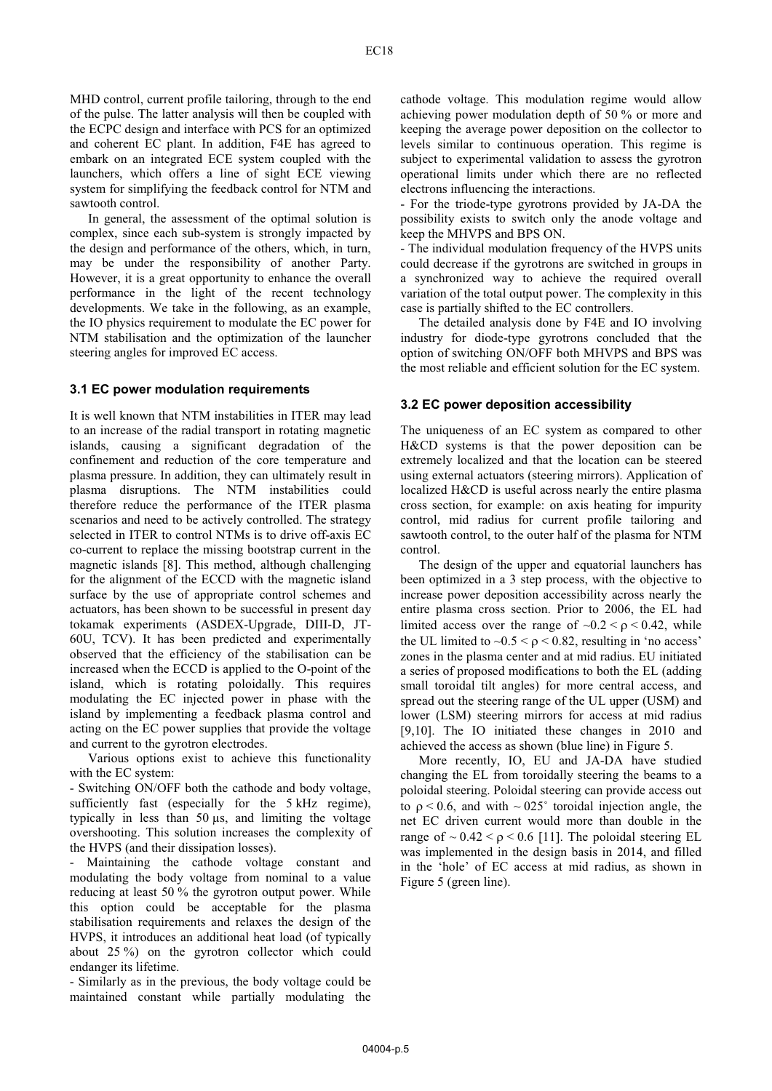MHD control, current profile tailoring, through to the end of the pulse. The latter analysis will then be coupled with the ECPC design and interface with PCS for an optimized and coherent EC plant. In addition, F4E has agreed to embark on an integrated ECE system coupled with the launchers, which offers a line of sight ECE viewing system for simplifying the feedback control for NTM and sawtooth control.

In general, the assessment of the optimal solution is complex, since each sub-system is strongly impacted by the design and performance of the others, which, in turn, may be under the responsibility of another Party. However, it is a great opportunity to enhance the overall performance in the light of the recent technology developments. We take in the following, as an example, the IO physics requirement to modulate the EC power for NTM stabilisation and the optimization of the launcher steering angles for improved EC access.

### **3.1 EC power modulation requirements**

It is well known that NTM instabilities in ITER may lead to an increase of the radial transport in rotating magnetic islands, causing a significant degradation of the confinement and reduction of the core temperature and plasma pressure. In addition, they can ultimately result in plasma disruptions. The NTM instabilities could therefore reduce the performance of the ITER plasma scenarios and need to be actively controlled. The strategy selected in ITER to control NTMs is to drive off-axis EC co-current to replace the missing bootstrap current in the magnetic islands [8]. This method, although challenging for the alignment of the ECCD with the magnetic island surface by the use of appropriate control schemes and actuators, has been shown to be successful in present day tokamak experiments (ASDEX-Upgrade, DIII-D, JT-60U, TCV). It has been predicted and experimentally observed that the efficiency of the stabilisation can be increased when the ECCD is applied to the O-point of the island, which is rotating poloidally. This requires modulating the EC injected power in phase with the island by implementing a feedback plasma control and acting on the EC power supplies that provide the voltage and current to the gyrotron electrodes.

Various options exist to achieve this functionality with the EC system:

- Switching ON/OFF both the cathode and body voltage, sufficiently fast (especially for the 5 kHz regime), typically in less than 50 μs, and limiting the voltage overshooting. This solution increases the complexity of the HVPS (and their dissipation losses).

Maintaining the cathode voltage constant and modulating the body voltage from nominal to a value reducing at least 50 % the gyrotron output power. While this option could be acceptable for the plasma stabilisation requirements and relaxes the design of the HVPS, it introduces an additional heat load (of typically about 25 %) on the gyrotron collector which could endanger its lifetime.

- Similarly as in the previous, the body voltage could be maintained constant while partially modulating the cathode voltage. This modulation regime would allow achieving power modulation depth of 50 % or more and keeping the average power deposition on the collector to levels similar to continuous operation. This regime is subject to experimental validation to assess the gyrotron operational limits under which there are no reflected electrons influencing the interactions.

- For the triode-type gyrotrons provided by JA-DA the possibility exists to switch only the anode voltage and keep the MHVPS and BPS ON.

- The individual modulation frequency of the HVPS units could decrease if the gyrotrons are switched in groups in a synchronized way to achieve the required overall variation of the total output power. The complexity in this case is partially shifted to the EC controllers.

The detailed analysis done by F4E and IO involving industry for diode-type gyrotrons concluded that the option of switching ON/OFF both MHVPS and BPS was the most reliable and efficient solution for the EC system.

### **3.2 EC power deposition accessibility**

The uniqueness of an EC system as compared to other H&CD systems is that the power deposition can be extremely localized and that the location can be steered using external actuators (steering mirrors). Application of localized H&CD is useful across nearly the entire plasma cross section, for example: on axis heating for impurity control, mid radius for current profile tailoring and sawtooth control, to the outer half of the plasma for NTM control.

The design of the upper and equatorial launchers has been optimized in a 3 step process, with the objective to increase power deposition accessibility across nearly the entire plasma cross section. Prior to 2006, the EL had limited access over the range of  $\sim 0.2 < \rho < 0.42$ , while the UL limited to  $\sim 0.5 < \rho < 0.82$ , resulting in 'no access' zones in the plasma center and at mid radius. EU initiated a series of proposed modifications to both the EL (adding small toroidal tilt angles) for more central access, and spread out the steering range of the UL upper (USM) and lower (LSM) steering mirrors for access at mid radius [9,10]. The IO initiated these changes in 2010 and achieved the access as shown (blue line) in Figure 5.

More recently, IO, EU and JA-DA have studied changing the EL from toroidally steering the beams to a poloidal steering. Poloidal steering can provide access out to  $\rho$  < 0.6, and with  $\sim$  025° toroidal injection angle, the net EC driven current would more than double in the range of  $\sim 0.42 < \rho < 0.6$  [11]. The poloidal steering EL was implemented in the design basis in 2014, and filled in the 'hole' of EC access at mid radius, as shown in Figure 5 (green line).